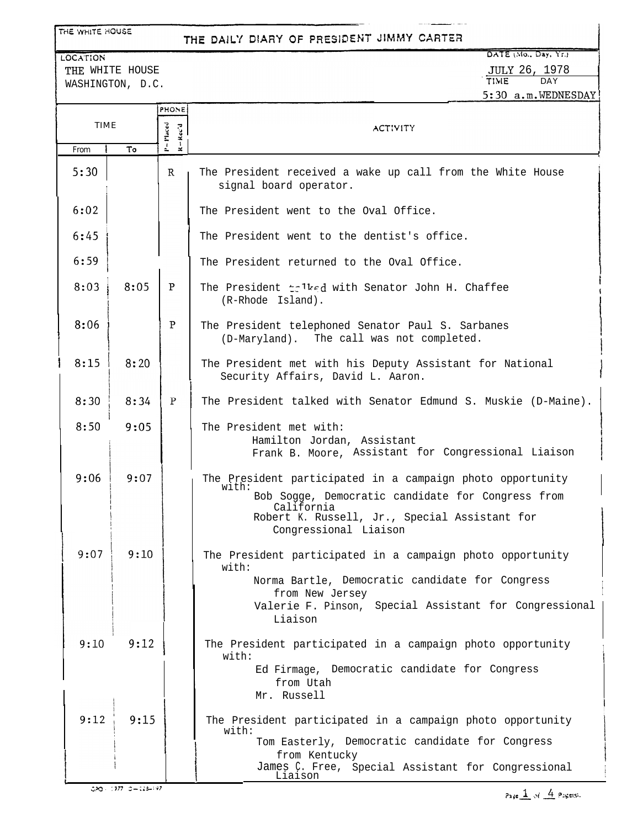## THE WHITE HOUSE

## THE DAILY DIARY OF PRESIDENT JIMMY CARTER

LOCATION THE WHITE HOUSE WASHINGTON, D.C.

DATE (Mo., Day, Yr.) JULY 26, 1978 , TIME DAY  $5:30$  a.m. WEDNESDAY

|      |      | PHONE              |                                                                                                                                                                                                                  |
|------|------|--------------------|------------------------------------------------------------------------------------------------------------------------------------------------------------------------------------------------------------------|
| TIME |      | P-Maced<br>R-Rec'd | ACTIVITY                                                                                                                                                                                                         |
| From | To   |                    |                                                                                                                                                                                                                  |
| 5:30 |      | $\mathbb{R}$       | The President received a wake up call from the White House<br>signal board operator.                                                                                                                             |
| 6:02 |      |                    | The President went to the Oval Office.                                                                                                                                                                           |
| 6:45 |      |                    | The President went to the dentist's office.                                                                                                                                                                      |
| 6:59 |      |                    | The President returned to the Oval Office.                                                                                                                                                                       |
| 8:03 | 8:05 | $\mathbf{P}$       | The President tolked with Senator John H. Chaffee<br>(R-Rhode Island).                                                                                                                                           |
| 8:06 |      | P                  | The President telephoned Senator Paul S. Sarbanes<br>(D-Maryland). The call was not completed.                                                                                                                   |
| 8:15 | 8:20 |                    | The President met with his Deputy Assistant for National<br>Security Affairs, David L. Aaron.                                                                                                                    |
| 8:30 | 8:34 | P                  | The President talked with Senator Edmund S. Muskie (D-Maine).                                                                                                                                                    |
| 8:50 | 9:05 |                    | The President met with:<br>Hamilton Jordan, Assistant<br>Frank B. Moore, Assistant for Congressional Liaison                                                                                                     |
| 9:06 | 9:07 |                    | The President participated in a campaign photo opportunity<br>with:<br>Bob Sogge, Democratic candidate for Congress from<br>California<br>Robert K. Russell, Jr., Special Assistant for<br>Congressional Liaison |
| 9:07 | 9:10 |                    | The President participated in a campaign photo opportunity<br>with:<br>Norma Bartle, Democratic candidate for Congress<br>from New Jersey<br>Valerie F. Pinson, Special Assistant for Congressional<br>Liaison   |
| 9:10 | 9:12 |                    | The President participated in a campaign photo opportunity<br>with:                                                                                                                                              |
|      |      |                    | Ed Firmage, Democratic candidate for Congress<br>from Utah<br>Mr. Russell                                                                                                                                        |
| 9:12 | 9:15 |                    | The President participated in a campaign photo opportunity<br>with:                                                                                                                                              |
|      |      |                    | Tom Easterly, Democratic candidate for Congress<br>from Kentucky                                                                                                                                                 |
|      |      |                    | James C. Free, Special Assistant for Congressional<br>Liaison                                                                                                                                                    |

 $5,30$  :  $137 - 3 - 113 - 197$ 

Page  $\pm$  of  $\pm$  Pagens).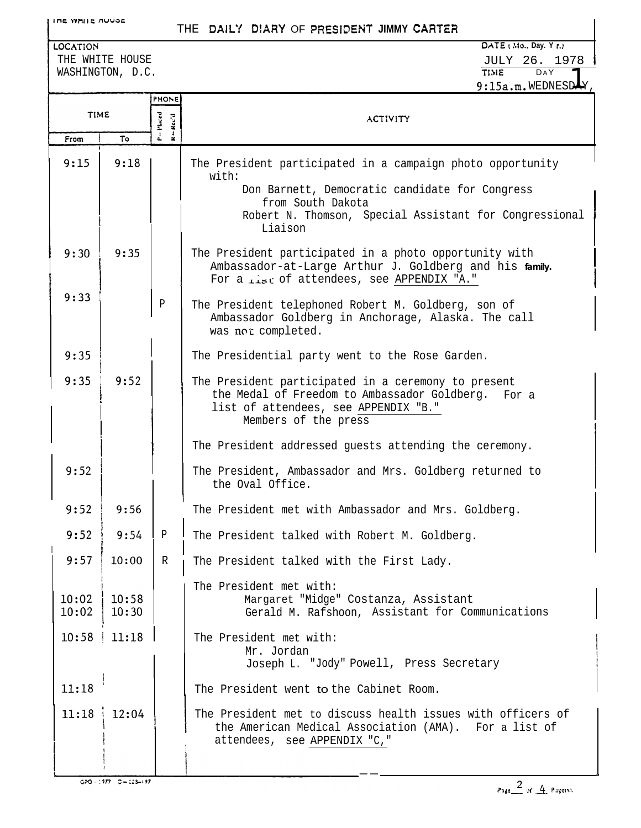## THE DAILY DIARY OF PRESIDENT JIMMY CARTER

LOCATION THE WHITE HOUSE WASHINGTON, D.C.

|                |                        | <b>PHONE</b>       |                                                                                                                                                                           |
|----------------|------------------------|--------------------|---------------------------------------------------------------------------------------------------------------------------------------------------------------------------|
| <b>TIME</b>    |                        | $-$ Maced<br>Rec'd | <b>ACTIVITY</b>                                                                                                                                                           |
| From           | Т٥                     |                    |                                                                                                                                                                           |
| 9:15           | 9:18                   |                    | The President participated in a campaign photo opportunity<br>with:                                                                                                       |
|                |                        |                    | Don Barnett, Democratic candidate for Congress<br>from South Dakota                                                                                                       |
|                |                        |                    | Robert N. Thomson, Special Assistant for Congressional<br>Liaison                                                                                                         |
| 9:30           | 9:35                   |                    | The President participated in a photo opportunity with<br>Ambassador-at-Large Arthur J. Goldberg and his family.<br>For a fist of attendees, see APPENDIX "A."            |
| 9:33           |                        | $\, {\bf p}$       | The President telephoned Robert M. Goldberg, son of<br>Ambassador Goldberg in Anchorage, Alaska. The call<br>was not completed.                                           |
| 9:35           |                        |                    | The Presidential party went to the Rose Garden.                                                                                                                           |
| 9:35           | 9:52                   |                    | The President participated in a ceremony to present<br>the Medal of Freedom to Ambassador Goldberg. For a<br>list of attendees, see APPENDIX "B."<br>Members of the press |
|                |                        |                    | The President addressed guests attending the ceremony.                                                                                                                    |
| 9:52           |                        |                    | The President, Ambassador and Mrs. Goldberg returned to<br>the Oval Office.                                                                                               |
| 9:52           | 9:56                   |                    | The President met with Ambassador and Mrs. Goldberg.                                                                                                                      |
| 9:52           | 9:54                   | P                  | The President talked with Robert M. Goldberg.                                                                                                                             |
| 9:57           | 10:00                  | R                  | The President talked with the First Lady.                                                                                                                                 |
| 10:02<br>10:02 | 10:58<br>10:30         |                    | The President met with:<br>Margaret "Midge" Costanza, Assistant<br>Gerald M. Rafshoon, Assistant for Communications                                                       |
|                | $10:58$   11:18        |                    | The President met with:<br>Mr. Jordan<br>Joseph L. "Jody" Powell, Press Secretary                                                                                         |
| 11:18          |                        |                    | The President went to the Cabinet Room.                                                                                                                                   |
| 11:18          | 12:04                  |                    | The President met to discuss health issues with officers of<br>the American Medical Association (AMA). For a list of<br>attendees, see APPENDIX "C, "                     |
|                | GAO - 177 - G⊷ 173–197 |                    |                                                                                                                                                                           |

 $Q2Q = 1977 - Q = 123 - 197$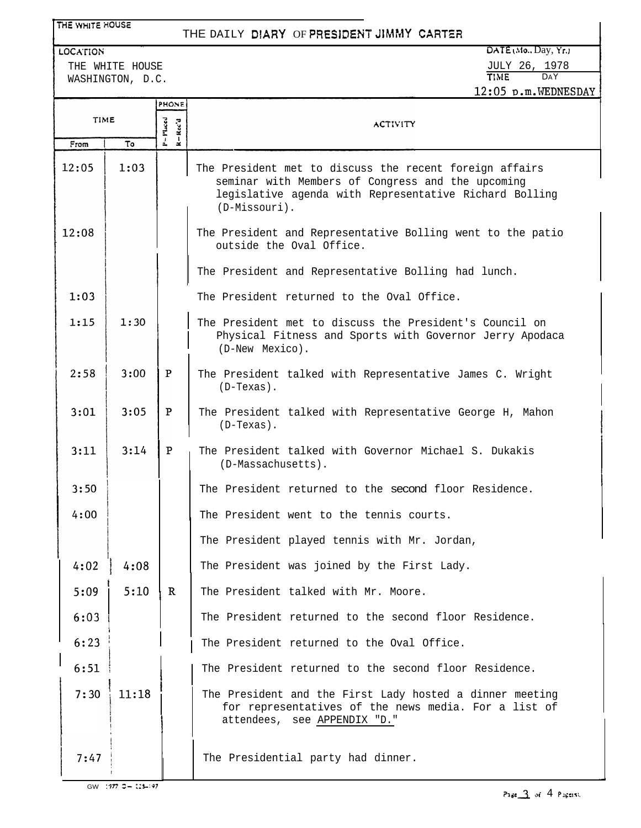| THE WHITE HOUSE |                                     |                                     | THE DAILY DIARY OF PRESIDENT JIMMY CARTER                                                                                                                                               |  |
|-----------------|-------------------------------------|-------------------------------------|-----------------------------------------------------------------------------------------------------------------------------------------------------------------------------------------|--|
| <b>LOCATION</b> |                                     |                                     | DATE(Mo., Day, Yr.)                                                                                                                                                                     |  |
|                 | THE WHITE HOUSE<br>WASHINGTON, D.C. |                                     | <b>JULY 26, 1978</b><br>TIME DAY                                                                                                                                                        |  |
|                 |                                     |                                     | 12:05 p.m.WEDNESDAY                                                                                                                                                                     |  |
| PHONE           |                                     |                                     |                                                                                                                                                                                         |  |
| <b>TIME</b>     |                                     | $P = P$ laced<br>$R - \text{Rec}$ d | <b>ACTIVITY</b>                                                                                                                                                                         |  |
| From            | Т٥                                  |                                     |                                                                                                                                                                                         |  |
| 12:05           | 1:03                                |                                     | The President met to discuss the recent foreign affairs<br>seminar with Members of Congress and the upcoming<br>legislative agenda with Representative Richard Bolling<br>(D-Missouri). |  |
| 12:08           |                                     |                                     | The President and Representative Bolling went to the patio<br>outside the Oval Office.                                                                                                  |  |
|                 |                                     |                                     | The President and Representative Bolling had lunch.                                                                                                                                     |  |
| 1:03            |                                     |                                     | The President returned to the Oval Office.                                                                                                                                              |  |
| 1:15            | 1:30                                |                                     | The President met to discuss the President's Council on<br>Physical Fitness and Sports with Governor Jerry Apodaca<br>(D-New Mexico).                                                   |  |
| 2:58            | 3:00                                | P                                   | The President talked with Representative James C. Wright<br>$(D-Texas)$ .                                                                                                               |  |
| 3:01            | 3:05                                | P                                   | The President talked with Representative George H, Mahon<br>$(D-Texas)$ .                                                                                                               |  |
| 3:11            | 3:14                                | ${\bf P}$                           | The President talked with Governor Michael S. Dukakis<br>(D-Massachusetts).                                                                                                             |  |
| 3:50            |                                     |                                     | The President returned to the second floor Residence                                                                                                                                    |  |
| 4:00            |                                     |                                     | The President went to the tennis courts.                                                                                                                                                |  |
|                 |                                     |                                     | The President played tennis with Mr. Jordan,                                                                                                                                            |  |
| 4:02            | 4:08                                |                                     | The President was joined by the First Lady.                                                                                                                                             |  |
| 5:09            | 5:10                                | $\mathbb{R}$                        | The President talked with Mr. Moore.                                                                                                                                                    |  |
| 6:03            |                                     |                                     | The President returned to the second floor Residence.                                                                                                                                   |  |
| 6:23            |                                     |                                     | The President returned to the Oval Office.                                                                                                                                              |  |
| 6:51            |                                     |                                     | The President returned to the second floor Residence.                                                                                                                                   |  |
| 7:30            | 11:18                               |                                     | The President and the First Lady hosted a dinner meeting<br>for representatives of the news media. For a list of<br>attendees, see APPENDIX "D."                                        |  |
| 7:47            |                                     |                                     | The Presidential party had dinner.                                                                                                                                                      |  |